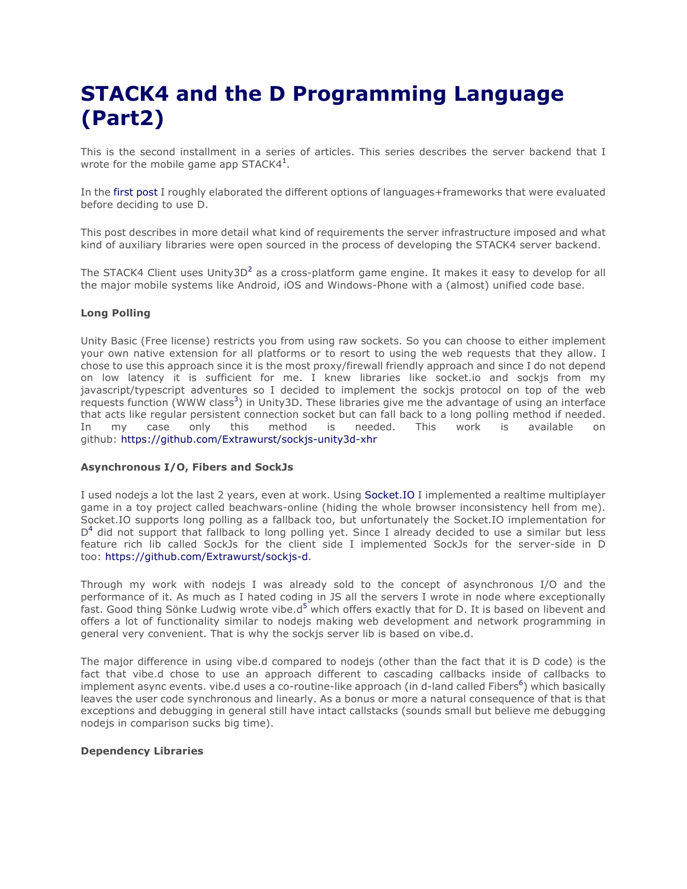## **STACK4 and the D Programming Language (Part2)**

This is the second installment in a series of articles. This series describes the server backend that I wrote for the mobile game app STACK4<sup>1</sup>.

In the first post I roughly elaborated the different options of languages+frameworks that were evaluated before deciding to use D.

This post describes in more detail what kind of requirements the server infrastructure imposed and what kind of auxiliary libraries were open sourced in the process of developing the STACK4 server backend.

The STACK4 Client uses Unity3D<sup>2</sup> as a cross-platform game engine. It makes it easy to develop for all the major mobile systems like Android, iOS and Windows-Phone with a (almost) unified code base.

## **Long Polling**

Unity Basic (Free license) restricts you from using raw sockets. So you can choose to either implement your own native extension for all platforms or to resort to using the web requests that they allow. I chose to use this approach since it is the most proxy/firewall friendly approach and since I do not depend on low latency it is sufficient for me. I knew libraries like socket.io and sockjs from my javascript/typescript adventures so I decided to implement the sockjs protocol on top of the web requests function (WWW class<sup>3</sup>) in Unity3D. These libraries give me the advantage of using an interface that acts like regular persistent connection socket but can fall back to a long polling method if needed. In my case only this method is needed. This work is available on github: https://github.com/Extrawurst/sockjs-unity3d-xhr

## **Asynchronous I/O, Fibers and SockJs**

I used nodejs a lot the last 2 years, even at work. Using Socket.IO I implemented a realtime multiplayer game in a toy project called beachwars-online (hiding the whole browser inconsistency hell from me). Socket.IO supports long polling as a fallback too, but unfortunately the Socket.IO implementation for  $D<sup>4</sup>$  did not support that fallback to long polling yet. Since I already decided to use a similar but less feature rich lib called SockJs for the client side I implemented SockJs for the server-side in D too: https://github.com/Extrawurst/sockjs-d.

Through my work with nodejs I was already sold to the concept of asynchronous I/O and the performance of it. As much as I hated coding in JS all the servers I wrote in node where exceptionally fast. Good thing Sönke Ludwig wrote vibe. $d^5$  which offers exactly that for D. It is based on libevent and offers a lot of functionality similar to nodejs making web development and network programming in general very convenient. That is why the sockjs server lib is based on vibe.d.

The major difference in using vibe.d compared to nodejs (other than the fact that it is D code) is the fact that vibe.d chose to use an approach different to cascading callbacks inside of callbacks to implement async events. vibe.d uses a co-routine-like approach (in d-land called Fibers<sup>6</sup>) which basically leaves the user code synchronous and linearly. As a bonus or more a natural consequence of that is that exceptions and debugging in general still have intact callstacks (sounds small but believe me debugging nodejs in comparison sucks big time).

## **Dependency Libraries**